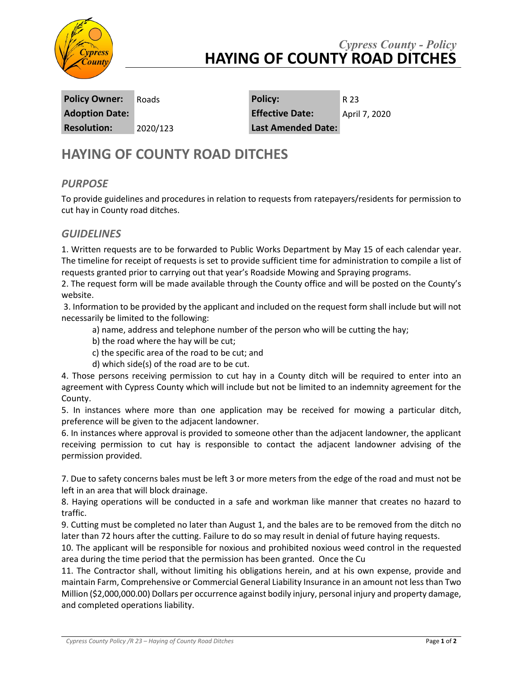

## *Cypress County - Policy* **HAYING OF COUNTY ROAD DITCHES**

**Resolution:** 2020/123 **Last Amended Date:**

**Policy Owner:** Roads **Policy:** R 23 **Adoption Date: Effective Date:** April 7, 2020

# **HAYING OF COUNTY ROAD DITCHES**

#### *PURPOSE*

To provide guidelines and procedures in relation to requests from ratepayers/residents for permission to cut hay in County road ditches.

#### *GUIDELINES*

1. Written requests are to be forwarded to Public Works Department by May 15 of each calendar year. The timeline for receipt of requests is set to provide sufficient time for administration to compile a list of requests granted prior to carrying out that year's Roadside Mowing and Spraying programs.

2. The request form will be made available through the County office and will be posted on the County's website.

3. Information to be provided by the applicant and included on the request form shall include but will not necessarily be limited to the following:

a) name, address and telephone number of the person who will be cutting the hay;

- b) the road where the hay will be cut;
- c) the specific area of the road to be cut; and
- d) which side(s) of the road are to be cut.

4. Those persons receiving permission to cut hay in a County ditch will be required to enter into an agreement with Cypress County which will include but not be limited to an indemnity agreement for the County.

5. In instances where more than one application may be received for mowing a particular ditch, preference will be given to the adjacent landowner.

6. In instances where approval is provided to someone other than the adjacent landowner, the applicant receiving permission to cut hay is responsible to contact the adjacent landowner advising of the permission provided.

7. Due to safety concerns bales must be left 3 or more meters from the edge of the road and must not be left in an area that will block drainage.

8. Haying operations will be conducted in a safe and workman like manner that creates no hazard to traffic.

9. Cutting must be completed no later than August 1, and the bales are to be removed from the ditch no later than 72 hours after the cutting. Failure to do so may result in denial of future haying requests.

10. The applicant will be responsible for noxious and prohibited noxious weed control in the requested area during the time period that the permission has been granted. Once the Cu

11. The Contractor shall, without limiting his obligations herein, and at his own expense, provide and maintain Farm, Comprehensive or Commercial General Liability Insurance in an amount not less than Two Million (\$2,000,000.00) Dollars per occurrence against bodily injury, personal injury and property damage, and completed operations liability.